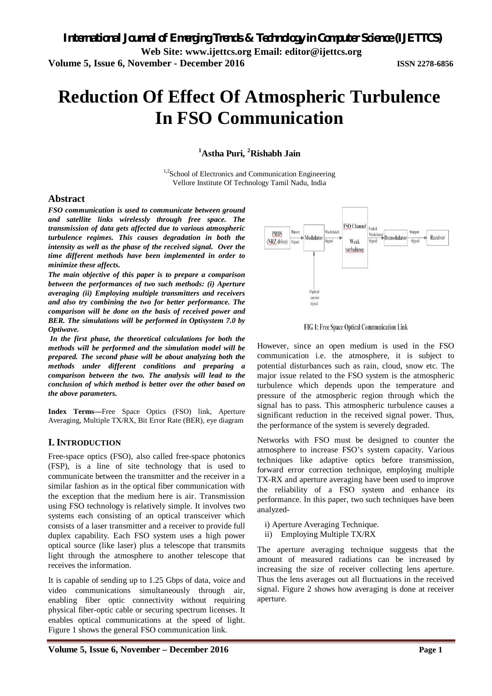# **Reduction Of Effect Of Atmospheric Turbulence In FSO Communication**

**<sup>1</sup>Astha Puri, <sup>2</sup>Rishabh Jain**

<sup>1,2</sup>School of Electronics and Communication Engineering Vellore Institute Of Technology Tamil Nadu, India

## **Abstract**

*FSO communication is used to communicate between ground and satellite links wirelessly through free space. The transmission of data gets affected due to various atmospheric turbulence regimes. This causes degradation in both the intensity as well as the phase of the received signal. Over the time different methods have been implemented in order to minimize these affects.*

*The main objective of this paper is to prepare a comparison between the performances of two such methods: (i) Aperture averaging (ii) Employing multiple transmitters and receivers and also try combining the two for better performance. The comparison will be done on the basis of received power and BER. The simulations will be performed in Optisystem 7.0 by Optiwave.*

*In the first phase, the theoretical calculations for both the methods will be performed and the simulation model will be prepared. The second phase will be about analyzing both the methods under different conditions and preparing a comparison between the two. The analysis will lead to the conclusion of which method is better over the other based on the above parameters.*

**Index Terms—**Free Space Optics (FSO) link, Aperture Averaging, Multiple TX/RX, Bit Error Rate (BER), eye diagram

# **I. INTRODUCTION**

Free-space optics (FSO), also called free-space photonics (FSP), is a line of site technology that is used to communicate between the transmitter and the receiver in a similar fashion as in the optical fiber communication with the exception that the medium here is air. Transmission using FSO technology is relatively simple. It involves two systems each consisting of an optical transceiver which consists of a laser transmitter and a receiver to provide full duplex capability. Each FSO system uses a high power optical source (like laser) plus a telescope that transmits light through the atmosphere to another telescope that receives the information.

It is capable of sending up to 1.25 Gbps of data, voice and video communications simultaneously through air, enabling fiber optic connectivity without requiring physical fiber-optic cable or securing spectrum licenses. It enables optical communications at the speed of light. Figure 1 shows the general FSO communication link.



FIG 1: Free Space Optical Communication Link

However, since an open medium is used in the FSO communication i.e. the atmosphere, it is subject to potential disturbances such as rain, cloud, snow etc. The major issue related to the FSO system is the atmospheric turbulence which depends upon the temperature and pressure of the atmospheric region through which the signal has to pass. This atmospheric turbulence causes a significant reduction in the received signal power. Thus, the performance of the system is severely degraded.

Networks with FSO must be designed to counter the atmosphere to increase FSO's system capacity. Various techniques like adaptive optics before transmission, forward error correction technique, employing multiple TX-RX and aperture averaging have been used to improve the reliability of a FSO system and enhance its performance. In this paper, two such techniques have been analyzed-

- i) Aperture Averaging Technique.
- ii) Employing Multiple TX/RX

The aperture averaging technique suggests that the amount of measured radiations can be increased by increasing the size of receiver collecting lens aperture. Thus the lens averages out all fluctuations in the received signal. Figure 2 shows how averaging is done at receiver aperture.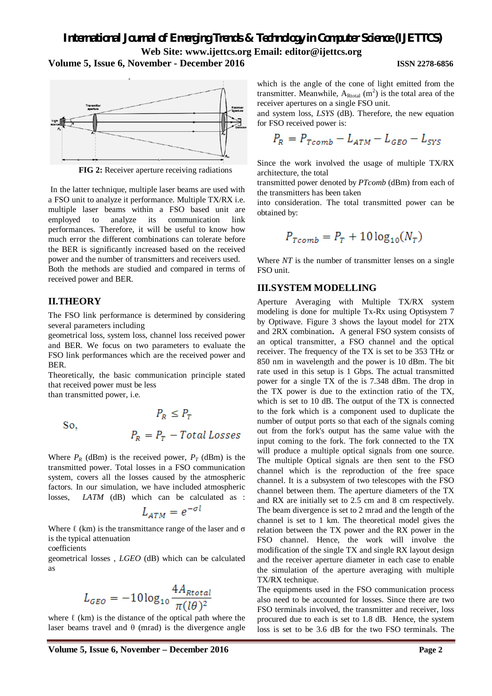**Volume 5, Issue 6, November - December 2016 ISSN 2278-6856**



**FIG 2:** Receiver aperture receiving radiations

In the latter technique, multiple laser beams are used with a FSO unit to analyze it performance. Multiple TX/RX i.e. multiple laser beams within a FSO based unit are employed to analyze its communication link performances. Therefore, it will be useful to know how much error the different combinations can tolerate before the BER is significantly increased based on the received power and the number of transmitters and receivers used. Both the methods are studied and compared in terms of received power and BER.

# **II.THEORY**

The FSO link performance is determined by considering several parameters including

geometrical loss, system loss, channel loss received power and BER. We focus on two parameters to evaluate the FSO link performances which are the received power and BER.

Theoretically, the basic communication principle stated that received power must be less

than transmitted power, i.e.

So,  
\n
$$
P_R \le P_T
$$
\nSo,  
\n
$$
P_R = P_T - Total Losses
$$

Where  $P_R$  (dBm) is the received power,  $P_T$  (dBm) is the transmitted power. Total losses in a FSO communication system, covers all the losses caused by the atmospheric factors. In our simulation, we have included atmospheric losses. *LATM* (dB) which can be calculated as :

$$
L_{ATM} = e^{-\sigma l}
$$

Where  $\ell$  (km) is the transmittance range of the laser and  $\sigma$ is the typical attenuation

coefficients

geometrical losses , *LGEO* (dB) which can be calculated as

$$
L_{GEO} = -10\log_{10}\frac{4A_{Rtotal}}{\pi(l\theta)^2}
$$

where  $\ell$  (km) is the distance of the optical path where the laser beams travel and  $\theta$  (mrad) is the divergence angle

by Optiwave. Figure 3 shows the layout model for 2TX

and 2RX combination**.** A general FSO system consists of an optical transmitter, a FSO channel and the optical receiver. The frequency of the TX is set to be 353 THz or 850 nm in wavelength and the power is 10 dBm. The bit rate used in this setup is 1 Gbps. The actual transmitted power for a single TX of the is 7.348 dBm. The drop in the TX power is due to the extinction ratio of the TX, which is set to 10 dB. The output of the TX is connected to the fork which is a component used to duplicate the number of output ports so that each of the signals coming out from the fork's output has the same value with the input coming to the fork. The fork connected to the TX will produce a multiple optical signals from one source. The multiple Optical signals are then sent to the FSO channel which is the reproduction of the free space channel. It is a subsystem of two telescopes with the FSO channel between them. The aperture diameters of the TX and RX are initially set to 2.5 cm and 8 cm respectively. The beam divergence is set to 2 mrad and the length of the channel is set to 1 km. The theoretical model gives the relation between the TX power and the RX power in the FSO channel. Hence, the work will involve the modification of the single TX and single RX layout design and the receiver aperture diameter in each case to enable the simulation of the aperture averaging with multiple TX/RX technique.

The equipments used in the FSO communication process also need to be accounted for losses. Since there are two FSO terminals involved, the transmitter and receiver, loss procured due to each is set to 1.8 dB. Hence, the system loss is set to be 3.6 dB for the two FSO terminals. The

which is the angle of the cone of light emitted from the transmitter. Meanwhile,  $A_{Rtotal}$  (m<sup>2</sup>) is the total area of the receiver apertures on a single FSO unit.

and system loss, *LSYS* (dB). Therefore, the new equation for FSO received power is:

$$
P_R = P_{Tcomb} - L_{ATM} - L_{GEO} - L_{SYS}
$$

Since the work involved the usage of multiple TX/RX architecture, the total

transmitted power denoted by *PTcomb* (dBm) from each of the transmitters has been taken

into consideration. The total transmitted power can be obtained by:

$$
P_{Tcomb}=P_T+10\log_{10}(N_T)
$$

Where *NT* is the number of transmitter lenses on a single FSO unit.

Aperture Averaging with Multiple TX/RX system modeling is done for multiple Tx-Rx using Optisystem 7

# **III.SYSTEM MODELLING**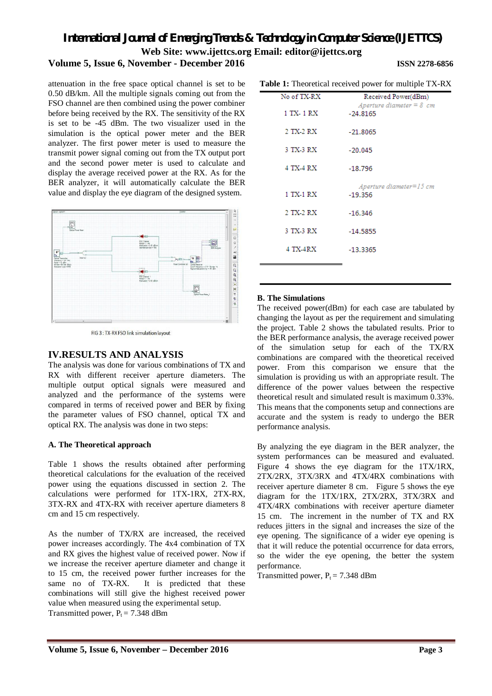# **Volume 5, Issue 6, November - December 2016 ISSN 2278-6856**

attenuation in the free space optical channel is set to be 0.50 dB/km. All the multiple signals coming out from the FSO channel are then combined using the power combiner before being received by the RX. The sensitivity of the RX is set to be -45 dBm. The two visualizer used in the simulation is the optical power meter and the BER **Table 1:** Theoretical received power for multiple TX-RX

analyzer. The first power meter is used to measure the transmit power signal coming out from the TX output port and the second power meter is used to calculate and display the average received power at the RX. As for the BER analyzer, it will automatically calculate the BER value and display the eye diagram of the designed system.



FIG 3 : TX-RX FSO link simulation lavout

# **IV.RESULTS AND ANALYSIS**

The analysis was done for various combinations of TX and RX with different receiver aperture diameters. The multiple output optical signals were measured and analyzed and the performance of the systems were compared in terms of received power and BER by fixing the parameter values of FSO channel, optical TX and optical RX. The analysis was done in two steps:

#### **A. The Theoretical approach**

Table 1 shows the results obtained after performing theoretical calculations for the evaluation of the received power using the equations discussed in section 2. The calculations were performed for 1TX-1RX, 2TX-RX, 3TX-RX and 4TX-RX with receiver aperture diameters 8 cm and 15 cm respectively.

As the number of TX/RX are increased, the received power increases accordingly. The 4x4 combination of TX and RX gives the highest value of received power. Now if we increase the receiver aperture diameter and change it to 15 cm, the received power further increases for the same no of TX-RX. It is predicted that these combinations will still give the highest received power value when measured using the experimental setup. Transmitted power,  $P_t = 7.348$  dBm

| <b>able 1.</b> Incording received power for inditiple $1\Delta$ -N |                                                   |
|--------------------------------------------------------------------|---------------------------------------------------|
| No of TX-RX                                                        | Received Power(dBm)<br>Aperture diameter $= 8$ cm |
| 1 TX- 1 RX                                                         | $-24.8165$                                        |
| 2 TX-2 RX                                                          | $-21.8065$                                        |
| 3 TX-3 RX                                                          | $-20.045$                                         |
| 4 TX-4 RX                                                          | $-18.796$                                         |
| 1 TX-1 RX                                                          | $A$ perture diameter= $15$ cm<br>$-19.356$        |
| 2 TX-2 RX                                                          | $-16.346$                                         |
| 3 TX-3 RX                                                          | $-14.5855$                                        |
| 4 TX-4RX                                                           | $-13.3365$                                        |
|                                                                    |                                                   |

### **B. The Simulations**

The received power(dBm) for each case are tabulated by changing the layout as per the requirement and simulating the project. Table 2 shows the tabulated results. Prior to the BER performance analysis, the average received power of the simulation setup for each of the TX/RX combinations are compared with the theoretical received power. From this comparison we ensure that the simulation is providing us with an appropriate result. The difference of the power values between the respective theoretical result and simulated result is maximum 0.33%. This means that the components setup and connections are accurate and the system is ready to undergo the BER performance analysis.

By analyzing the eye diagram in the BER analyzer, the system performances can be measured and evaluated. Figure 4 shows the eye diagram for the 1TX/1RX, 2TX/2RX, 3TX/3RX and 4TX/4RX combinations with receiver aperture diameter 8 cm. Figure 5 shows the eye diagram for the 1TX/1RX, 2TX/2RX, 3TX/3RX and 4TX/4RX combinations with receiver aperture diameter 15 cm. The increment in the number of TX and RX reduces jitters in the signal and increases the size of the eye opening. The significance of a wider eye opening is that it will reduce the potential occurrence for data errors, so the wider the eye opening, the better the system performance.

Transmitted power,  $P_1 = 7.348$  dBm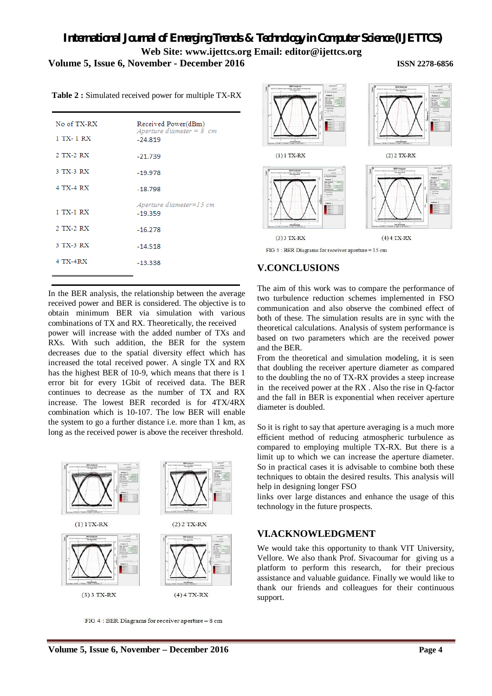# *International Journal of Emerging Trends & Technology in Computer Science (IJETTCS)* **Web Site: www.ijettcs.org Email: editor@ijettcs.org Volume 5, Issue 6, November - December 2016**

| No of TX-RX<br>1 TX- 1 RX | Received Power(dBm)<br>Aperture diameter $= 8$ cm<br>$-24.819$ |
|---------------------------|----------------------------------------------------------------|
| 2 TX-2 RX                 | $-21.739$                                                      |
| 3 TX-3 RX                 | $-19.978$                                                      |
| 4 TX-4 RX                 | $-18.798$                                                      |
| 1 TX-1 RX                 | $A$ perture diameter=15 cm<br>$-19.359$                        |
| 2 TX-2 RX                 | $-16.278$                                                      |
| 3 TX-3 RX                 | $-14.518$                                                      |
| <b>4 TX-4RX</b>           | $-13.338$                                                      |
|                           |                                                                |

**Table 2 :** Simulated received power for multiple TX-RX

In the BER analysis, the relationship between the average received power and BER is considered. The objective is to obtain minimum BER via simulation with various combinations of TX and RX. Theoretically, the received

power will increase with the added number of TXs and RXs. With such addition, the BER for the system decreases due to the spatial diversity effect which has increased the total received power. A single TX and RX has the highest BER of 10-9, which means that there is 1 error bit for every 1Gbit of received data. The BER continues to decrease as the number of TX and RX increase. The lowest BER recorded is for 4TX/4RX combination which is 10-107. The low BER will enable the system to go a further distance i.e. more than 1 km, as long as the received power is above the receiver threshold.



FIG 4 : BER Diagrams for receiver aperture = 8 cm



FIG  $5$ : BER Diagrams for receiver aperture = 15 cm

# **V.CONCLUSIONS**

The aim of this work was to compare the performance of two turbulence reduction schemes implemented in FSO communication and also observe the combined effect of both of these. The simulation results are in sync with the theoretical calculations. Analysis of system performance is based on two parameters which are the received power and the BER.

From the theoretical and simulation modeling, it is seen that doubling the receiver aperture diameter as compared to the doubling the no of TX-RX provides a steep increase in the received power at the RX . Also the rise in Q-factor and the fall in BER is exponential when receiver aperture diameter is doubled.

So it is right to say that aperture averaging is a much more efficient method of reducing atmospheric turbulence as compared to employing multiple TX-RX. But there is a limit up to which we can increase the aperture diameter. So in practical cases it is advisable to combine both these techniques to obtain the desired results. This analysis will help in designing longer FSO

links over large distances and enhance the usage of this technology in the future prospects.

# **VI.ACKNOWLEDGMENT**

We would take this opportunity to thank VIT University, Vellore. We also thank Prof. Sivacoumar for giving us a platform to perform this research, for their precious assistance and valuable guidance. Finally we would like to thank our friends and colleagues for their continuous support.